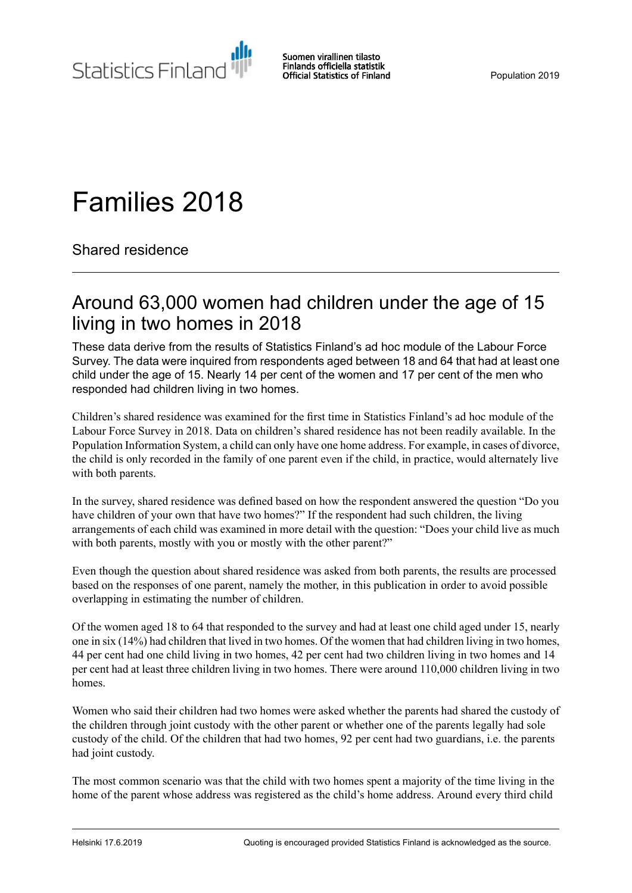# Families 2018

Shared residence

## Around 63,000 women had children under the age of 15 living in two homes in 2018

These data derive from the results of Statistics Finland's ad hoc module of the Labour Force Survey. The data were inquired from respondents aged between 18 and 64 that had at least one child under the age of 15. Nearly 14 per cent of the women and 17 per cent of the men who responded had children living in two homes.

Children's shared residence was examined for the first time in Statistics Finland's ad hoc module of the Labour Force Survey in 2018. Data on children's shared residence has not been readily available. In the Population Information System, a child can only have one home address. For example, in cases of divorce, the child is only recorded in the family of one parent even if the child, in practice, would alternately live with both parents.

In the survey, shared residence was defined based on how the respondent answered the question "Do you have children of your own that have two homes?" If the respondent had such children, the living arrangements of each child was examined in more detail with the question: "Does your child live as much with both parents, mostly with you or mostly with the other parent?"

Even though the question about shared residence was asked from both parents, the results are processed based on the responses of one parent, namely the mother, in this publication in order to avoid possible overlapping in estimating the number of children.

Of the women aged 18 to 64 that responded to the survey and had at least one child aged under 15, nearly one in six (14%) had children that lived in two homes. Of the women that had children living in two homes, 44 per cent had one child living in two homes, 42 per cent had two children living in two homes and 14 per cent had at least three children living in two homes. There were around 110,000 children living in two homes.

Women who said their children had two homes were asked whether the parents had shared the custody of the children through joint custody with the other parent or whether one of the parents legally had sole custody of the child. Of the children that had two homes, 92 per cent had two guardians, i.e. the parents had joint custody.

The most common scenario was that the child with two homes spent a majority of the time living in the home of the parent whose address was registered as the child's home address. Around every third child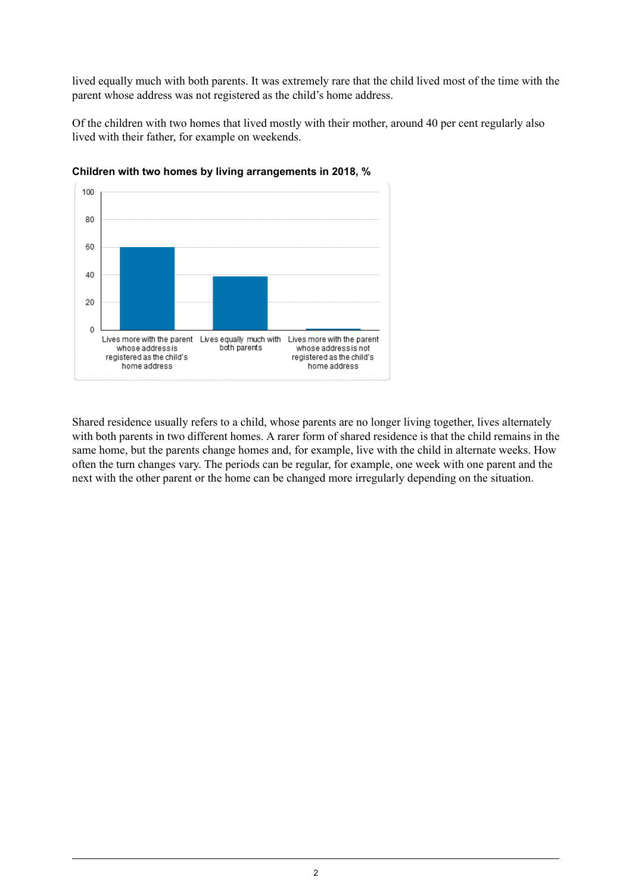lived equally much with both parents. It was extremely rare that the child lived most of the time with the parent whose address was not registered as the child's home address.

Of the children with two homes that lived mostly with their mother, around 40 per cent regularly also lived with their father, for example on weekends.



#### **Children with two homes by living arrangements in 2018, %**

Shared residence usually refers to a child, whose parents are no longer living together, lives alternately with both parents in two different homes. A rarer form of shared residence is that the child remains in the same home, but the parents change homes and, for example, live with the child in alternate weeks. How often the turn changes vary. The periods can be regular, for example, one week with one parent and the next with the other parent or the home can be changed more irregularly depending on the situation.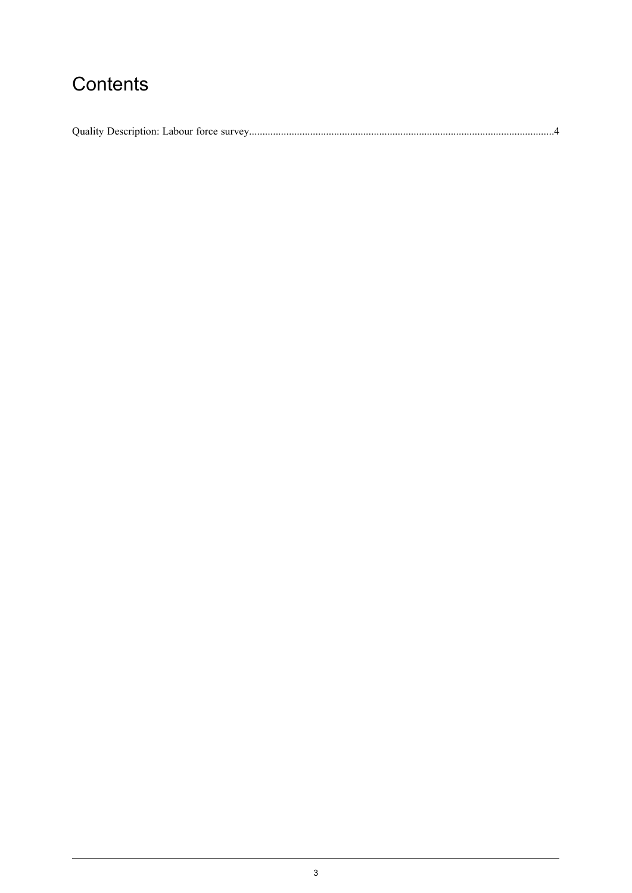## Contents

|--|--|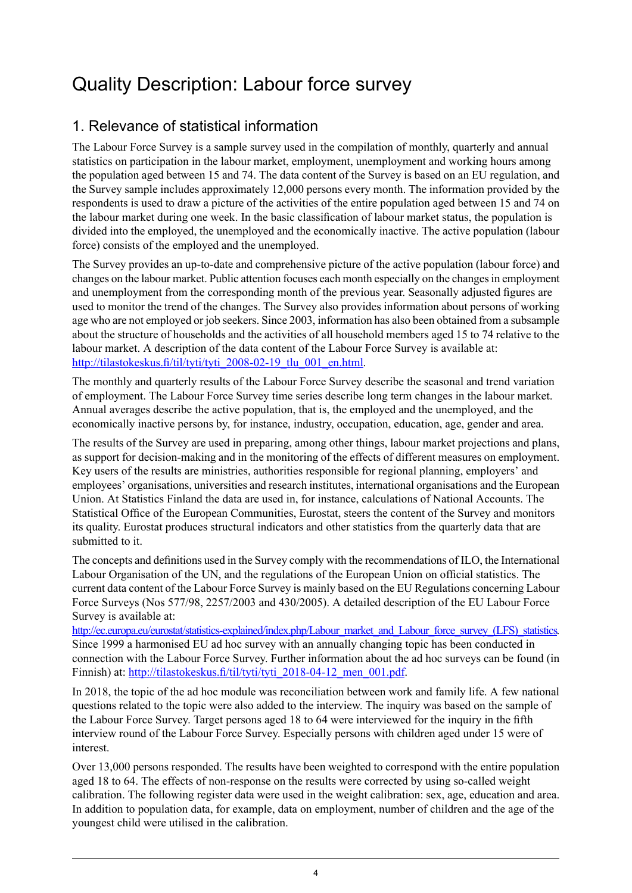## <span id="page-3-0"></span>Quality Description: Labour force survey

## 1. Relevance of statistical information

The Labour Force Survey is a sample survey used in the compilation of monthly, quarterly and annual statistics on participation in the labour market, employment, unemployment and working hours among the population aged between 15 and 74. The data content of the Survey is based on an EU regulation, and the Survey sample includes approximately 12,000 persons every month. The information provided by the respondents is used to draw a picture of the activities of the entire population aged between 15 and 74 on the labour market during one week. In the basic classification of labour market status, the population is divided into the employed, the unemployed and the economically inactive. The active population (labour force) consists of the employed and the unemployed.

The Survey provides an up-to-date and comprehensive picture of the active population (labour force) and changes on the labour market. Public attention focuses each month especially on the changes in employment and unemployment from the corresponding month of the previous year. Seasonally adjusted figures are used to monitor the trend of the changes. The Survey also provides information about persons of working age who are not employed or job seekers. Since 2003, information has also been obtained from a subsample about the structure of households and the activities of all household members aged 15 to 74 relative to the labour market. A description of the data content of the Labour Force Survey is available at: [http://tilastokeskus.fi/til/tyti/tyti\\_2008-02-19\\_tlu\\_001\\_en.html](http://tilastokeskus.fi/til/tyti/tyti_2008-02-19_tlu_001_en.html).

The monthly and quarterly results of the Labour Force Survey describe the seasonal and trend variation of employment. The Labour Force Survey time series describe long term changes in the labour market. Annual averages describe the active population, that is, the employed and the unemployed, and the economically inactive persons by, for instance, industry, occupation, education, age, gender and area.

The results of the Survey are used in preparing, among other things, labour market projections and plans, as support for decision-making and in the monitoring of the effects of different measures on employment. Key users of the results are ministries, authorities responsible for regional planning, employers' and employees' organisations, universities and research institutes, international organisations and the European Union. At Statistics Finland the data are used in, for instance, calculations of National Accounts. The Statistical Office of the European Communities, Eurostat, steers the content of the Survey and monitors its quality. Eurostat produces structural indicators and other statistics from the quarterly data that are submitted to it.

The concepts and definitions used in the Survey comply with the recommendations of ILO, the International Labour Organisation of the UN, and the regulations of the European Union on official statistics. The current data content of the Labour Force Survey is mainly based on the EU Regulations concerning Labour Force Surveys (Nos 577/98, 2257/2003 and 430/2005). A detailed description of the EU Labour Force Survey is available at:

[http://ec.europa.eu/eurostat/statistics-explained/index.php/Labour\\_market\\_and\\_Labour\\_force\\_survey\\_\(LFS\)\\_statistics.](http://ec.europa.eu/eurostat/statistics-explained/index.php/Labour_market_and_Labour_force_survey_(LFS)_statistics) Since 1999 a harmonised EU ad hoc survey with an annually changing topic has been conducted in connection with the Labour Force Survey. Further information about the ad hoc surveys can be found (in Finnish) at: [http://tilastokeskus.fi/til/tyti/tyti\\_2018-04-12\\_men\\_001.pdf](http://tilastokeskus.fi/til/tyti/tyti_2018-04-12_men_001.pdf).

In 2018, the topic of the ad hoc module was reconciliation between work and family life. A few national questions related to the topic were also added to the interview. The inquiry was based on the sample of the Labour Force Survey. Target persons aged 18 to 64 were interviewed for the inquiry in the fifth interview round of the Labour Force Survey. Especially persons with children aged under 15 were of interest.

Over 13,000 persons responded. The results have been weighted to correspond with the entire population aged 18 to 64. The effects of non-response on the results were corrected by using so-called weight calibration. The following register data were used in the weight calibration: sex, age, education and area. In addition to population data, for example, data on employment, number of children and the age of the youngest child were utilised in the calibration.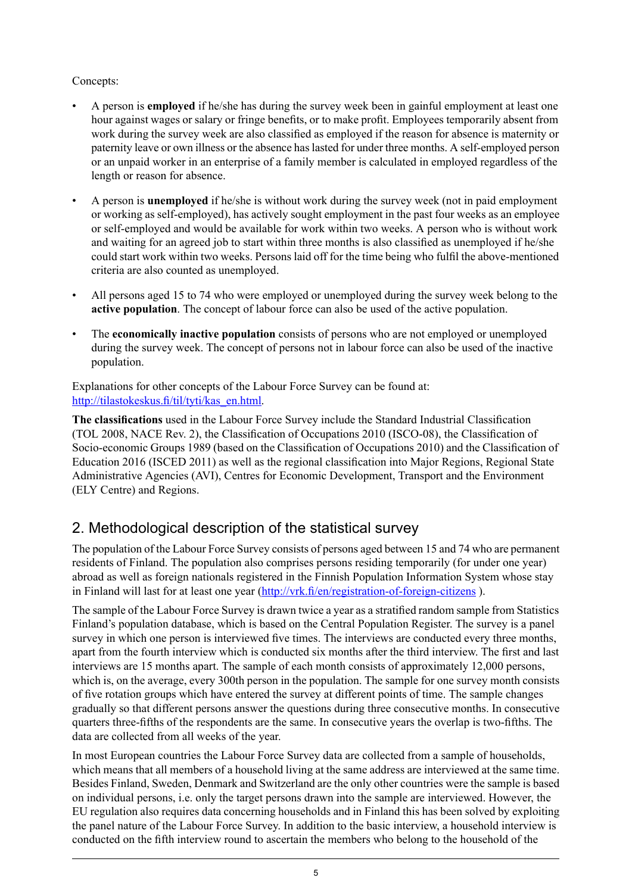#### Concepts:

- A person is **employed** if he/she has during the survey week been in gainful employment at least one hour against wages or salary or fringe benefits, or to make profit. Employees temporarily absent from work during the survey week are also classified as employed if the reason for absence is maternity or paternity leave or own illness or the absence has lasted for under three months. A self-employed person or an unpaid worker in an enterprise of a family member is calculated in employed regardless of the length or reason for absence.
- A person is **unemployed** if he/she is without work during the survey week (not in paid employment or working as self-employed), has actively sought employment in the past four weeks as an employee or self-employed and would be available for work within two weeks. A person who is without work and waiting for an agreed job to start within three months is also classified as unemployed if he/she could start work within two weeks. Persons laid off for the time being who fulfil the above-mentioned criteria are also counted as unemployed.
- All persons aged 15 to 74 who were employed or unemployed during the survey week belong to the **active population**. The concept of labour force can also be used of the active population.
- The **economically inactive population** consists of persons who are not employed or unemployed during the survey week. The concept of persons not in labour force can also be used of the inactive population.

Explanations for other concepts of the Labour Force Survey can be found at: [http://tilastokeskus.fi/til/tyti/kas\\_en.html](http://tilastokeskus.fi/til/tyti/kas_en.html).

**The classifications** used in the Labour Force Survey include the Standard Industrial Classification (TOL 2008, NACE Rev. 2), the Classification of Occupations 2010 (ISCO-08), the Classification of Socio-economic Groups 1989 (based on the Classification of Occupations 2010) and the Classification of Education 2016 (ISCED 2011) as well as the regional classification into Major Regions, Regional State Administrative Agencies (AVI), Centres for Economic Development, Transport and the Environment (ELY Centre) and Regions.

## 2. Methodological description of the statistical survey

The population of the Labour Force Survey consists of persons aged between 15 and 74 who are permanent residents of Finland. The population also comprises persons residing temporarily (for under one year) abroad as well as foreign nationals registered in the Finnish Population Information System whose stay in Finland will last for at least one year (<http://vrk.fi/en/registration-of-foreign-citizens>).

The sample of the Labour Force Survey is drawn twice a year as a stratified random sample from Statistics Finland's population database, which is based on the Central Population Register. The survey is a panel survey in which one person is interviewed five times. The interviews are conducted every three months, apart from the fourth interview which is conducted six months after the third interview. The first and last interviews are 15 months apart. The sample of each month consists of approximately 12,000 persons, which is, on the average, every 300th person in the population. The sample for one survey month consists of five rotation groups which have entered the survey at different points of time. The sample changes gradually so that different persons answer the questions during three consecutive months. In consecutive quarters three-fifths of the respondents are the same. In consecutive years the overlap is two-fifths. The data are collected from all weeks of the year.

In most European countries the Labour Force Survey data are collected from a sample of households, which means that all members of a household living at the same address are interviewed at the same time. Besides Finland, Sweden, Denmark and Switzerland are the only other countries were the sample is based on individual persons, i.e. only the target persons drawn into the sample are interviewed. However, the EU regulation also requires data concerning households and in Finland this has been solved by exploiting the panel nature of the Labour Force Survey. In addition to the basic interview, a household interview is conducted on the fifth interview round to ascertain the members who belong to the household of the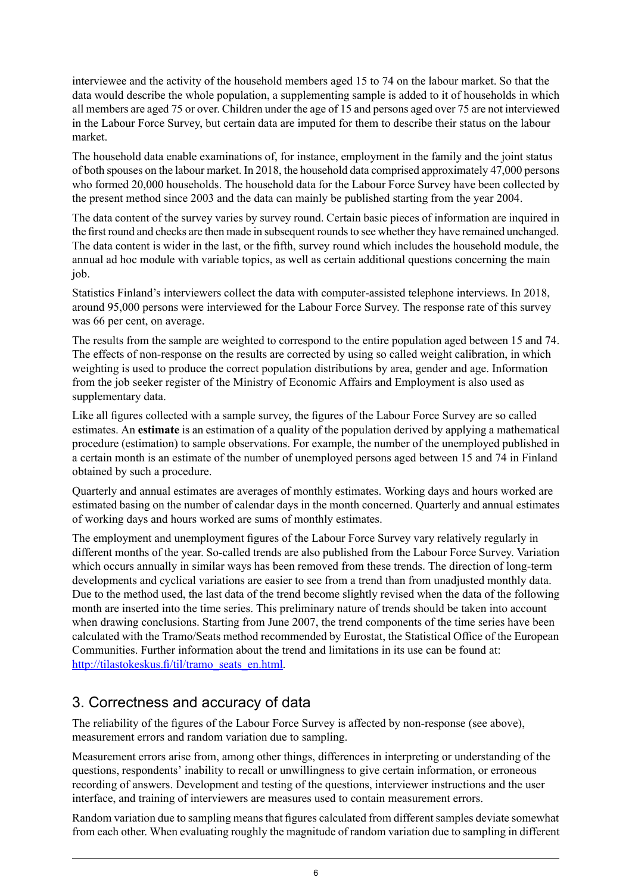interviewee and the activity of the household members aged 15 to 74 on the labour market. So that the data would describe the whole population, a supplementing sample is added to it of households in which all members are aged 75 or over. Children under the age of 15 and persons aged over 75 are not interviewed in the Labour Force Survey, but certain data are imputed for them to describe their status on the labour market.

The household data enable examinations of, for instance, employment in the family and the joint status of both spouses on the labour market. In 2018, the household data comprised approximately 47,000 persons who formed 20,000 households. The household data for the Labour Force Survey have been collected by the present method since 2003 and the data can mainly be published starting from the year 2004.

The data content of the survey varies by survey round. Certain basic pieces of information are inquired in the first round and checks are then made in subsequent rounds to see whether they have remained unchanged. The data content is wider in the last, or the fifth, survey round which includes the household module, the annual ad hoc module with variable topics, as well as certain additional questions concerning the main job.

Statistics Finland's interviewers collect the data with computer-assisted telephone interviews. In 2018, around 95,000 persons were interviewed for the Labour Force Survey. The response rate of this survey was 66 per cent, on average.

The results from the sample are weighted to correspond to the entire population aged between 15 and 74. The effects of non-response on the results are corrected by using so called weight calibration, in which weighting is used to produce the correct population distributions by area, gender and age. Information from the job seeker register of the Ministry of Economic Affairs and Employment is also used as supplementary data.

Like all figures collected with a sample survey, the figures of the Labour Force Survey are so called estimates. An **estimate** is an estimation of a quality of the population derived by applying a mathematical procedure (estimation) to sample observations. For example, the number of the unemployed published in a certain month is an estimate of the number of unemployed persons aged between 15 and 74 in Finland obtained by such a procedure.

Quarterly and annual estimates are averages of monthly estimates. Working days and hours worked are estimated basing on the number of calendar days in the month concerned. Quarterly and annual estimates of working days and hours worked are sums of monthly estimates.

The employment and unemployment figures of the Labour Force Survey vary relatively regularly in different months of the year. So-called trends are also published from the Labour Force Survey. Variation which occurs annually in similar ways has been removed from these trends. The direction of long-term developments and cyclical variations are easier to see from a trend than from unadjusted monthly data. Due to the method used, the last data of the trend become slightly revised when the data of the following month are inserted into the time series. This preliminary nature of trends should be taken into account when drawing conclusions. Starting from June 2007, the trend components of the time series have been calculated with the Tramo/Seats method recommended by Eurostat, the Statistical Office of the European Communities. Further information about the trend and limitations in its use can be found at: [http://tilastokeskus.fi/til/tramo\\_seats\\_en.html](http://tilastokeskus.fi/til/tramo_seats_en.html).

## 3. Correctness and accuracy of data

The reliability of the figures of the Labour Force Survey is affected by non-response (see above), measurement errors and random variation due to sampling.

Measurement errors arise from, among other things, differences in interpreting or understanding of the questions, respondents' inability to recall or unwillingness to give certain information, or erroneous recording of answers. Development and testing of the questions, interviewer instructions and the user interface, and training of interviewers are measures used to contain measurement errors.

Random variation due to sampling means that figures calculated from different samples deviate somewhat from each other. When evaluating roughly the magnitude of random variation due to sampling in different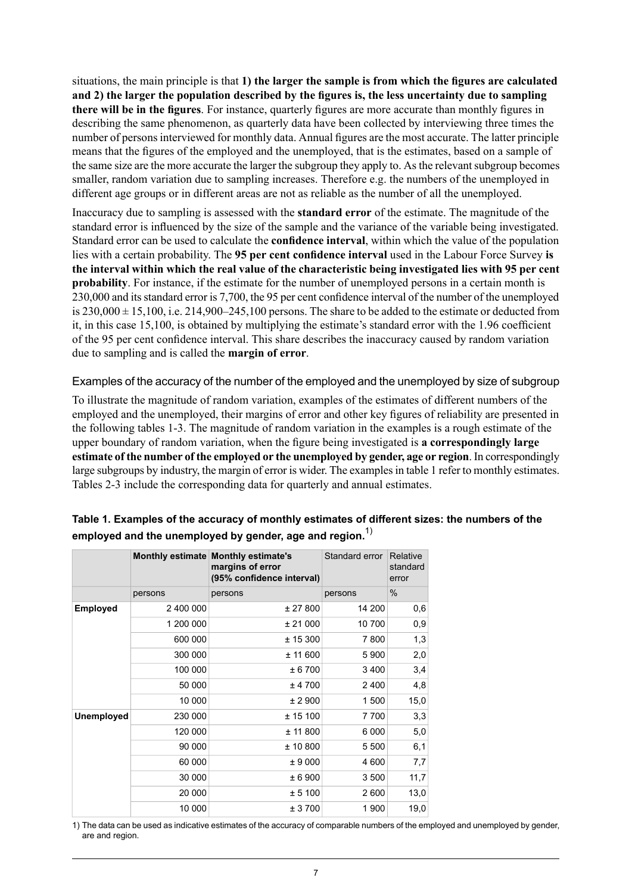situations, the main principle is that **1) the larger the sample is from which the figures are calculated and 2) the larger the population described by the figures is, the less uncertainty due to sampling there will be in the figures**. For instance, quarterly figures are more accurate than monthly figures in describing the same phenomenon, as quarterly data have been collected by interviewing three times the number of personsinterviewed for monthly data. Annual figures are the most accurate. The latter principle means that the figures of the employed and the unemployed, that is the estimates, based on a sample of the same size are the more accurate the larger the subgroup they apply to. As the relevant subgroup becomes smaller, random variation due to sampling increases. Therefore e.g. the numbers of the unemployed in different age groups or in different areas are not as reliable as the number of all the unemployed.

Inaccuracy due to sampling is assessed with the **standard error** of the estimate. The magnitude of the standard error is influenced by the size of the sample and the variance of the variable being investigated. Standard error can be used to calculate the **confidence interval**, within which the value of the population lies with a certain probability. The **95 per cent confidence interval** used in the Labour Force Survey **is the interval within which the real value of the characteristic being investigated lies with 95 per cent probability**. For instance, if the estimate for the number of unemployed persons in a certain month is 230,000 and itsstandard error is 7,700, the 95 per cent confidence interval of the number of the unemployed is  $230,000 \pm 15,100$ , i.e.  $214,900-245,100$  persons. The share to be added to the estimate or deducted from it, in this case 15,100, is obtained by multiplying the estimate's standard error with the 1.96 coefficient of the 95 per cent confidence interval. This share describes the inaccuracy caused by random variation due to sampling and is called the **margin of error**.

#### Examples of the accuracy of the number of the employed and the unemployed by size of subgroup

To illustrate the magnitude of random variation, examples of the estimates of different numbers of the employed and the unemployed, their margins of error and other key figures of reliability are presented in the following tables 1-3. The magnitude of random variation in the examples is a rough estimate of the upper boundary of random variation, when the figure being investigated is **a correspondingly large estimate of the number of the employed or the unemployed by gender, age or region**. In correspondingly large subgroups by industry, the margin of error is wider. The examples in table 1 refer to monthly estimates. Tables 2-3 include the corresponding data for quarterly and annual estimates.

|                   |           | Monthly estimate Monthly estimate's<br>margins of error<br>(95% confidence interval) | Standard error | Relative<br>standard<br>error |
|-------------------|-----------|--------------------------------------------------------------------------------------|----------------|-------------------------------|
|                   | persons   | persons                                                                              | persons        | $\%$                          |
| <b>Employed</b>   | 2 400 000 | ± 27800                                                                              | 14 200         | 0,6                           |
|                   | 1 200 000 | ± 21000                                                                              | 10700          | 0,9                           |
|                   | 600 000   | ± 15300                                                                              | 7800           | 1,3                           |
|                   | 300 000   | ± 11600                                                                              | 5900           | 2,0                           |
|                   | 100 000   | ± 6700                                                                               | 3400           | 3,4                           |
|                   | 50 000    | ± 4700                                                                               | 2 4 0 0        | 4,8                           |
|                   | 10 000    | ± 2900                                                                               | 1 500          | 15,0                          |
| <b>Unemployed</b> | 230 000   | ± 15 100                                                                             | 7700           | 3,3                           |
|                   | 120 000   | ± 11800                                                                              | 6 0 0 0        | 5,0                           |
|                   | 90 000    | ± 10 800                                                                             | 5 500          | 6,1                           |
|                   | 60 000    | ± 9000                                                                               | 4 600          | 7,7                           |
|                   | 30 000    | ± 6900                                                                               | 3500           | 11,7                          |
|                   | 20 000    | ± 5100                                                                               | 2600           | 13,0                          |
|                   | 10 000    | ± 3700                                                                               | 1900           | 19,0                          |

#### **Table 1. Examples of the accuracy of monthly estimates of different sizes: the numbers of the employed and the unemployed by gender, age and region.**1)

1) The data can be used as indicative estimates of the accuracy of comparable numbers of the employed and unemployed by gender, are and region.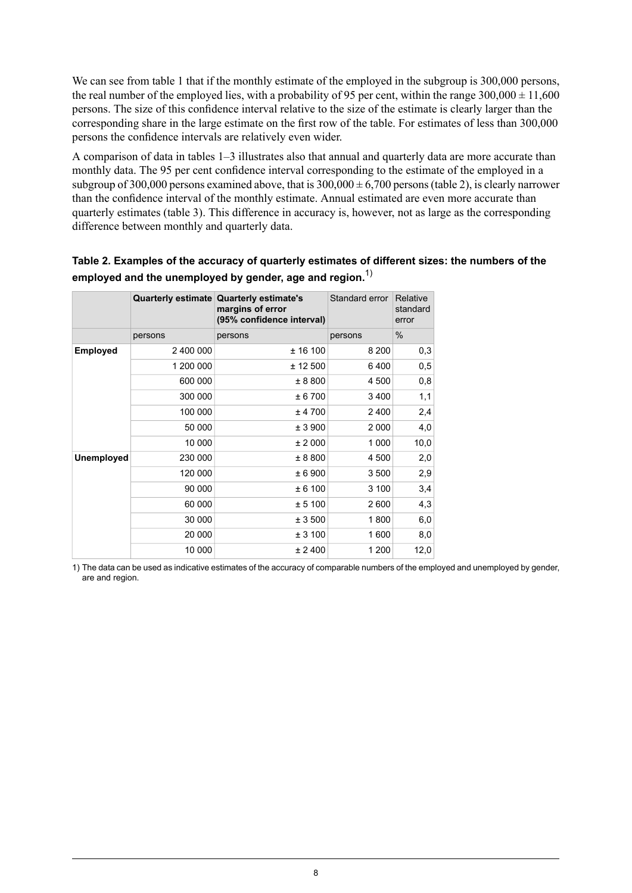We can see from table 1 that if the monthly estimate of the employed in the subgroup is 300,000 persons, the real number of the employed lies, with a probability of 95 per cent, within the range  $300,000 \pm 11,600$ persons. The size of this confidence interval relative to the size of the estimate is clearly larger than the corresponding share in the large estimate on the first row of the table. For estimates of less than 300,000 persons the confidence intervals are relatively even wider.

A comparison of data in tables 1–3 illustrates also that annual and quarterly data are more accurate than monthly data. The 95 per cent confidence interval corresponding to the estimate of the employed in a subgroup of 300,000 persons examined above, that is  $300,000 \pm 6,700$  persons (table 2), is clearly narrower than the confidence interval of the monthly estimate. Annual estimated are even more accurate than quarterly estimates (table 3). This difference in accuracy is, however, not as large as the corresponding difference between monthly and quarterly data.

|                   |           | Quarterly estimate Quarterly estimate's<br>margins of error<br>(95% confidence interval) | Standard error | Relative<br>standard<br>error |
|-------------------|-----------|------------------------------------------------------------------------------------------|----------------|-------------------------------|
|                   | persons   | persons                                                                                  | persons        | $\%$                          |
| <b>Employed</b>   | 2 400 000 | ± 16100                                                                                  | 8 2 0 0        | 0,3                           |
|                   | 1 200 000 | ± 12500                                                                                  | 6400           | 0,5                           |
|                   | 600 000   | ± 8800                                                                                   | 4 500          | 0,8                           |
|                   | 300 000   | ± 6700                                                                                   | 3400           | 1,1                           |
|                   | 100 000   | ± 4700                                                                                   | 2400           | 2,4                           |
|                   | 50 000    | ± 3900                                                                                   | 2 0 0 0        | 4,0                           |
|                   | 10 000    | ± 2000                                                                                   | 1 000          | 10,0                          |
| <b>Unemployed</b> | 230 000   | ± 8800                                                                                   | 4 500          | 2,0                           |
|                   | 120 000   | ± 6900                                                                                   | 3500           | 2,9                           |
|                   | 90 000    | ± 6100                                                                                   | 3 100          | 3,4                           |
|                   | 60 000    | ± 5100                                                                                   | 2600           | 4,3                           |
|                   | 30 000    | ± 3500                                                                                   | 1800           | 6,0                           |
|                   | 20 000    | ± 3100                                                                                   | 1600           | 8,0                           |
|                   | 10 000    | ± 2400                                                                                   | 1 200          | 12,0                          |

**Table 2. Examples of the accuracy of quarterly estimates of different sizes: the numbers of the employed and the unemployed by gender, age and region.**1)

1) The data can be used as indicative estimates of the accuracy of comparable numbers of the employed and unemployed by gender, are and region.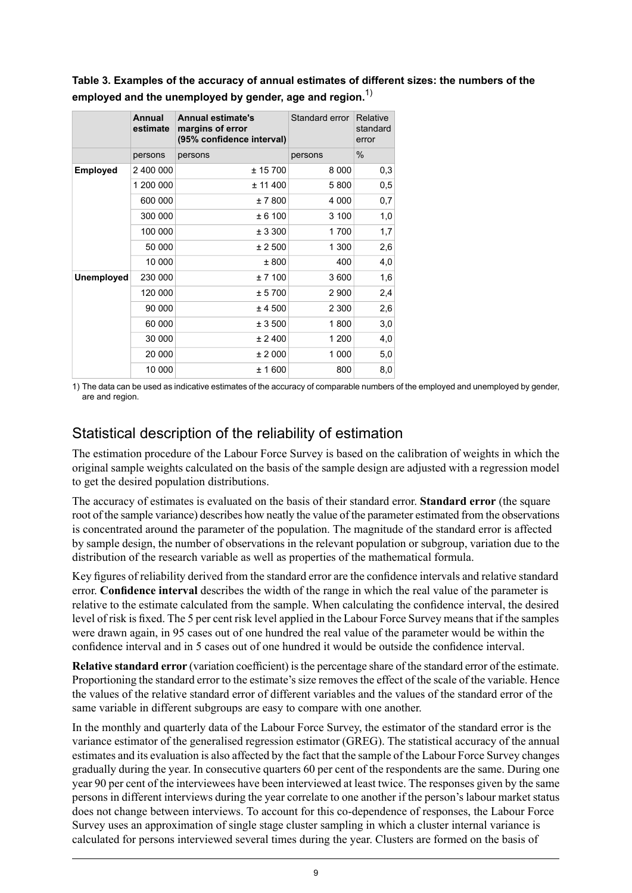**Table 3. Examples of the accuracy of annual estimates of different sizes: the numbers of the employed and the unemployed by gender, age and region.**1)

|                   | Annual<br>estimate | <b>Annual estimate's</b><br>margins of error<br>(95% confidence interval) | Standard error | Relative<br>standard<br>error |
|-------------------|--------------------|---------------------------------------------------------------------------|----------------|-------------------------------|
|                   | persons            | persons                                                                   | persons        | $\%$                          |
| <b>Employed</b>   | 2 400 000          | ± 15700                                                                   | 8 0 0 0        | 0,3                           |
|                   | 1 200 000          | ± 11400                                                                   | 5800           | 0,5                           |
|                   | 600 000            | ± 7800                                                                    | 4 0 0 0        | 0,7                           |
|                   | 300 000            | ± 6100                                                                    | 3 100          | 1,0                           |
|                   | 100 000            | ± 3300                                                                    | 1700           | 1,7                           |
|                   | 50 000             | ± 2500                                                                    | 1 300          | 2,6                           |
|                   | 10 000             | ± 800                                                                     | 400            | 4,0                           |
| <b>Unemployed</b> | 230 000            | ± 7100                                                                    | 3 600          | 1,6                           |
|                   | 120 000            | ± 5700                                                                    | 2 900          | 2,4                           |
|                   | 90 000             | ± 4500                                                                    | 2 3 0 0        | 2,6                           |
|                   | 60 000             | ± 3500                                                                    | 1800           | 3,0                           |
|                   | 30 000             | ± 2400                                                                    | 1 200          | 4,0                           |
|                   | 20 000             | ± 2000                                                                    | 1 000          | 5,0                           |
|                   | 10 000             | ± 1 600                                                                   | 800            | 8,0                           |

1) The data can be used as indicative estimates of the accuracy of comparable numbers of the employed and unemployed by gender, are and region.

## Statistical description of the reliability of estimation

The estimation procedure of the Labour Force Survey is based on the calibration of weights in which the original sample weights calculated on the basis of the sample design are adjusted with a regression model to get the desired population distributions.

The accuracy of estimates is evaluated on the basis of their standard error. **Standard error** (the square root of the sample variance) describes how neatly the value of the parameter estimated from the observations is concentrated around the parameter of the population. The magnitude of the standard error is affected by sample design, the number of observations in the relevant population or subgroup, variation due to the distribution of the research variable as well as properties of the mathematical formula.

Key figures of reliability derived from the standard error are the confidence intervals and relative standard error. **Confidence interval** describes the width of the range in which the real value of the parameter is relative to the estimate calculated from the sample. When calculating the confidence interval, the desired level of risk is fixed. The 5 per cent risk level applied in the Labour Force Survey meansthat if the samples were drawn again, in 95 cases out of one hundred the real value of the parameter would be within the confidence interval and in 5 cases out of one hundred it would be outside the confidence interval.

**Relative standard error** (variation coefficient) isthe percentage share of the standard error of the estimate. Proportioning the standard error to the estimate's size removes the effect of the scale of the variable. Hence the values of the relative standard error of different variables and the values of the standard error of the same variable in different subgroups are easy to compare with one another.

In the monthly and quarterly data of the Labour Force Survey, the estimator of the standard error is the variance estimator of the generalised regression estimator (GREG). The statistical accuracy of the annual estimates and its evaluation is also affected by the fact that the sample of the Labour Force Survey changes gradually during the year. In consecutive quarters 60 per cent of the respondents are the same. During one year 90 per cent of the interviewees have been interviewed at least twice. The responses given by the same persons in different interviews during the year correlate to one another if the person's labour market status does not change between interviews. To account for this co-dependence of responses, the Labour Force Survey uses an approximation of single stage cluster sampling in which a cluster internal variance is calculated for persons interviewed several times during the year. Clusters are formed on the basis of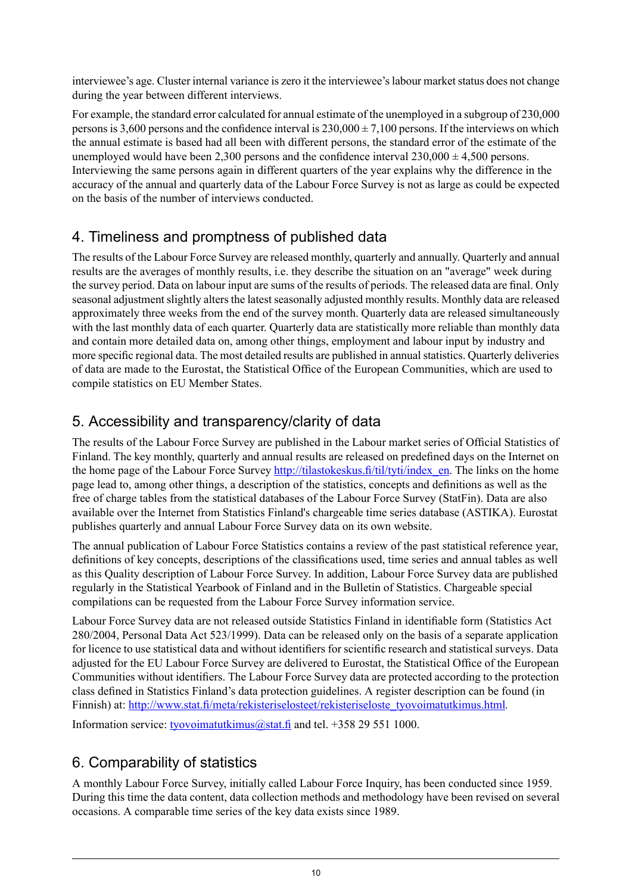interviewee's age. Cluster internal variance is zero it the interviewee's labour market status does not change during the year between different interviews.

For example, the standard error calculated for annual estimate of the unemployed in a subgroup of 230,000 persons is 3,600 persons and the confidence interval is  $230,000 \pm 7,100$  persons. If the interviews on which the annual estimate is based had all been with different persons, the standard error of the estimate of the unemployed would have been 2,300 persons and the confidence interval  $230,000 \pm 4,500$  persons. Interviewing the same persons again in different quarters of the year explains why the difference in the accuracy of the annual and quarterly data of the Labour Force Survey is not as large as could be expected on the basis of the number of interviews conducted.

## 4. Timeliness and promptness of published data

The results of the Labour Force Survey are released monthly, quarterly and annually. Quarterly and annual results are the averages of monthly results, i.e. they describe the situation on an "average" week during the survey period. Data on labour input are sums of the results of periods. The released data are final. Only seasonal adjustment slightly alters the latest seasonally adjusted monthly results. Monthly data are released approximately three weeks from the end of the survey month. Quarterly data are released simultaneously with the last monthly data of each quarter. Quarterly data are statistically more reliable than monthly data and contain more detailed data on, among other things, employment and labour input by industry and more specific regional data. The most detailed results are published in annual statistics. Quarterly deliveries of data are made to the Eurostat, the Statistical Office of the European Communities, which are used to compile statistics on EU Member States.

### 5. Accessibility and transparency/clarity of data

The results of the Labour Force Survey are published in the Labour market series of Official Statistics of Finland. The key monthly, quarterly and annual results are released on predefined days on the Internet on the home page of the Labour Force Survey [http://tilastokeskus.fi/til/tyti/index\\_en](http://tilastokeskus.fi/til/tyti/index_en). The links on the home page lead to, among other things, a description of the statistics, concepts and definitions as well as the free of charge tables from the statistical databases of the Labour Force Survey (StatFin). Data are also available over the Internet from Statistics Finland's chargeable time series database (ASTIKA). Eurostat publishes quarterly and annual Labour Force Survey data on its own website.

The annual publication of Labour Force Statistics contains a review of the past statistical reference year, definitions of key concepts, descriptions of the classifications used, time series and annual tables as well as this Quality description of Labour Force Survey. In addition, Labour Force Survey data are published regularly in the Statistical Yearbook of Finland and in the Bulletin of Statistics. Chargeable special compilations can be requested from the Labour Force Survey information service.

Labour Force Survey data are not released outside Statistics Finland in identifiable form (Statistics Act 280/2004, Personal Data Act 523/1999). Data can be released only on the basis of a separate application for licence to use statistical data and without identifiers for scientific research and statistical surveys. Data adjusted for the EU Labour Force Survey are delivered to Eurostat, the Statistical Office of the European Communities without identifiers. The Labour Force Survey data are protected according to the protection class defined in Statistics Finland's data protection guidelines. A register description can be found (in Finnish) at: [http://www.stat.fi/meta/rekisteriselosteet/rekisteriseloste\\_tyovoimatutkimus.html.](http://www.stat.fi/meta/rekisteriselosteet/rekisteriseloste_tyovoimatutkimus.html)

Information service: [tyovoimatutkimus@stat.fi](mailto:tyovoimatutkimus@stat.fi) and tel. +358 29 551 1000.

## 6. Comparability of statistics

A monthly Labour Force Survey, initially called Labour Force Inquiry, has been conducted since 1959. During this time the data content, data collection methods and methodology have been revised on several occasions. A comparable time series of the key data exists since 1989.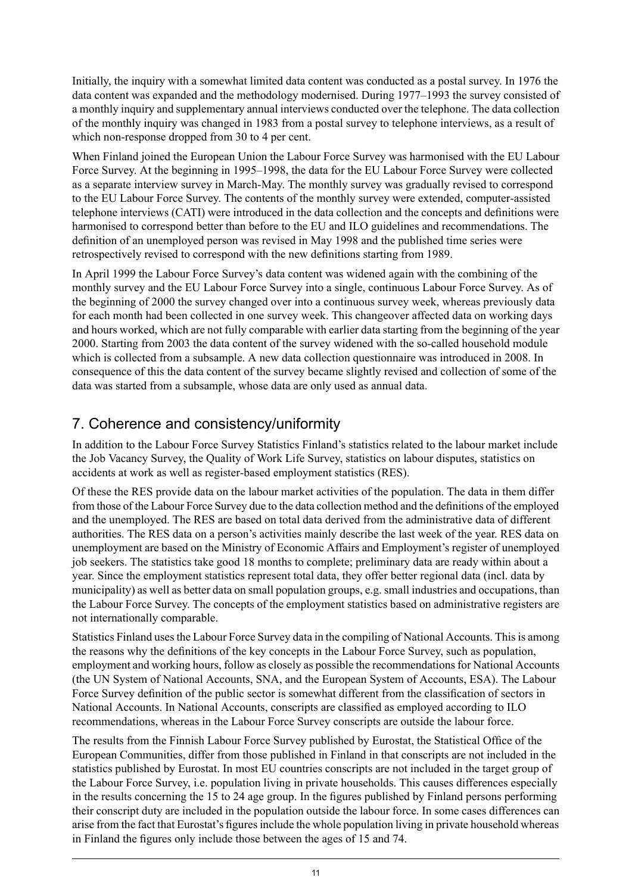Initially, the inquiry with a somewhat limited data content was conducted as a postal survey. In 1976 the data content was expanded and the methodology modernised. During 1977–1993 the survey consisted of a monthly inquiry and supplementary annual interviews conducted over the telephone. The data collection of the monthly inquiry was changed in 1983 from a postal survey to telephone interviews, as a result of which non-response dropped from 30 to 4 per cent.

When Finland joined the European Union the Labour Force Survey was harmonised with the EU Labour Force Survey. At the beginning in 1995–1998, the data for the EU Labour Force Survey were collected as a separate interview survey in March-May. The monthly survey was gradually revised to correspond to the EU Labour Force Survey. The contents of the monthly survey were extended, computer-assisted telephone interviews (CATI) were introduced in the data collection and the concepts and definitions were harmonised to correspond better than before to the EU and ILO guidelines and recommendations. The definition of an unemployed person was revised in May 1998 and the published time series were retrospectively revised to correspond with the new definitions starting from 1989.

In April 1999 the Labour Force Survey's data content was widened again with the combining of the monthly survey and the EU Labour Force Survey into a single, continuous Labour Force Survey. As of the beginning of 2000 the survey changed over into a continuous survey week, whereas previously data for each month had been collected in one survey week. This changeover affected data on working days and hours worked, which are not fully comparable with earlier data starting from the beginning of the year 2000. Starting from 2003 the data content of the survey widened with the so-called household module which is collected from a subsample. A new data collection questionnaire was introduced in 2008. In consequence of this the data content of the survey became slightly revised and collection of some of the data was started from a subsample, whose data are only used as annual data.

### 7. Coherence and consistency/uniformity

In addition to the Labour Force Survey Statistics Finland's statistics related to the labour market include the Job Vacancy Survey, the Quality of Work Life Survey, statistics on labour disputes, statistics on accidents at work as well as register-based employment statistics (RES).

Of these the RES provide data on the labour market activities of the population. The data in them differ from those of the Labour Force Survey due to the data collection method and the definitions of the employed and the unemployed. The RES are based on total data derived from the administrative data of different authorities. The RES data on a person's activities mainly describe the last week of the year. RES data on unemployment are based on the Ministry of Economic Affairs and Employment's register of unemployed job seekers. The statistics take good 18 months to complete; preliminary data are ready within about a year. Since the employment statistics represent total data, they offer better regional data (incl. data by municipality) as well as better data on small population groups, e.g. small industries and occupations, than the Labour Force Survey. The concepts of the employment statistics based on administrative registers are not internationally comparable.

Statistics Finland uses the Labour Force Survey data in the compiling of National Accounts. This is among the reasons why the definitions of the key concepts in the Labour Force Survey, such as population, employment and working hours, follow as closely as possible the recommendations for National Accounts (the UN System of National Accounts, SNA, and the European System of Accounts, ESA). The Labour Force Survey definition of the public sector is somewhat different from the classification of sectors in National Accounts. In National Accounts, conscripts are classified as employed according to ILO recommendations, whereas in the Labour Force Survey conscripts are outside the labour force.

The results from the Finnish Labour Force Survey published by Eurostat, the Statistical Office of the European Communities, differ from those published in Finland in that conscripts are not included in the statistics published by Eurostat. In most EU countries conscripts are not included in the target group of the Labour Force Survey, i.e. population living in private households. This causes differences especially in the results concerning the 15 to 24 age group. In the figures published by Finland persons performing their conscript duty are included in the population outside the labour force. In some cases differences can arise from the fact that Eurostat's figures include the whole population living in private household whereas in Finland the figures only include those between the ages of 15 and 74.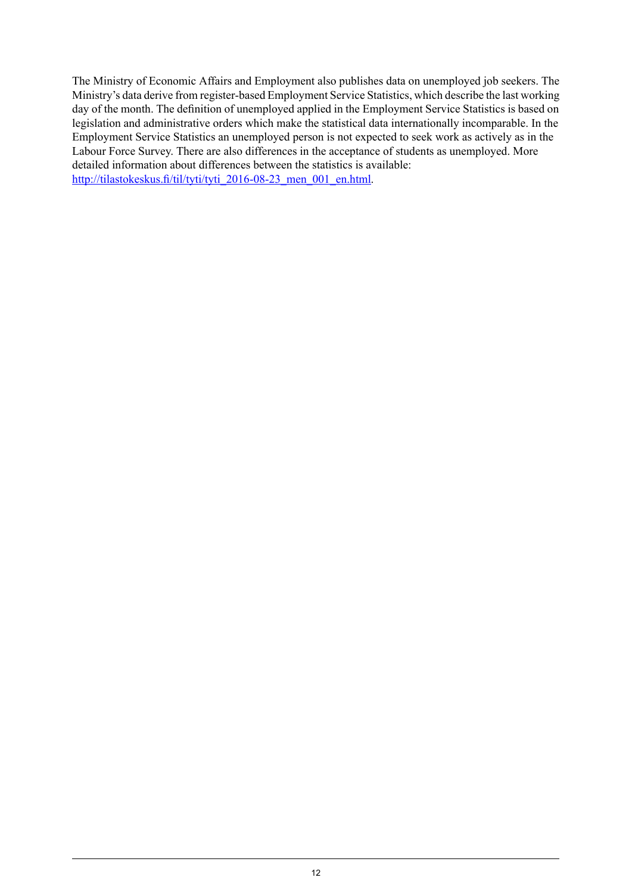The Ministry of Economic Affairs and Employment also publishes data on unemployed job seekers. The Ministry's data derive from register-based Employment Service Statistics, which describe the last working day of the month. The definition of unemployed applied in the Employment Service Statistics is based on legislation and administrative orders which make the statistical data internationally incomparable. In the Employment Service Statistics an unemployed person is not expected to seek work as actively as in the Labour Force Survey. There are also differences in the acceptance of students as unemployed. More detailed information about differences between the statistics is available: [http://tilastokeskus.fi/til/tyti/tyti\\_2016-08-23\\_men\\_001\\_en.html.](http://tilastokeskus.fi/til/tyti/tyti_2016-08-23_men_001_en.html)